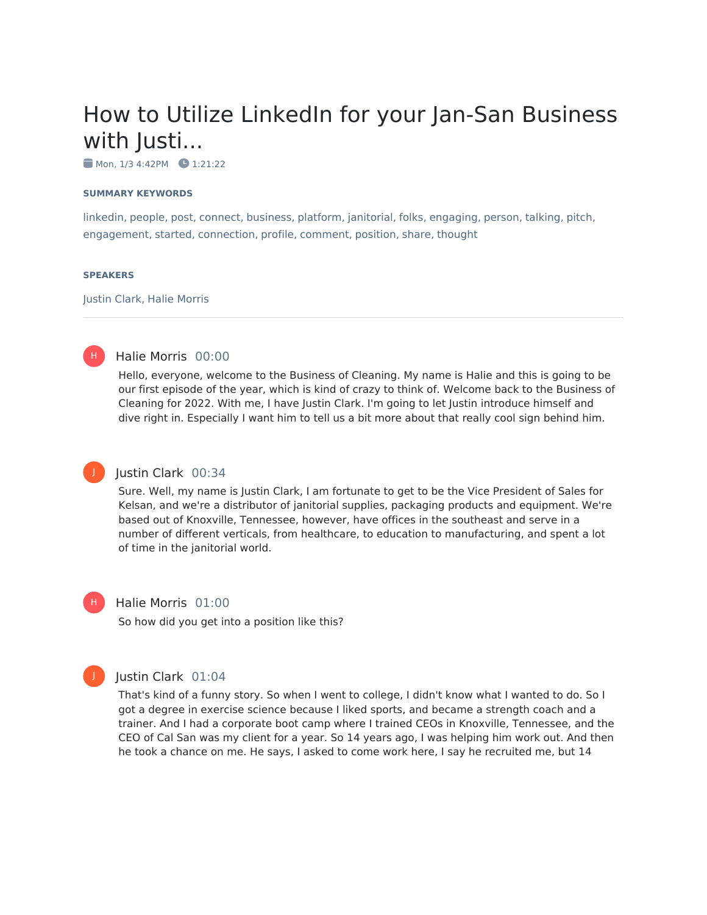# How to Utilize LinkedIn for your Jan-San Business with Justi...

 $\blacksquare$  Mon, 1/3 4:42PM  $\blacksquare$  1:21:22

#### **SUMMARY KEYWORDS**

linkedin, people, post, connect, business, platform, janitorial, folks, engaging, person, talking, pitch, engagement, started, connection, profile, comment, position, share, thought

#### **SPEAKERS**

H)

Justin Clark, Halie Morris

#### Halie Morris 00:00

Hello, everyone, welcome to the Business of Cleaning. My name is Halie and this is going to be our first episode of the year, which is kind of crazy to think of. Welcome back to the Business of Cleaning for 2022. With me, I have Justin Clark. I'm going to let Justin introduce himself and dive right in. Especially I want him to tell us a bit more about that really cool sign behind him.

## J

#### Justin Clark 00:34

Sure. Well, my name is Justin Clark, I am fortunate to get to be the Vice President of Sales for Kelsan, and we're a distributor of janitorial supplies, packaging products and equipment. We're based out of Knoxville, Tennessee, however, have offices in the southeast and serve in a number of different verticals, from healthcare, to education to manufacturing, and spent a lot of time in the janitorial world.

#### Halie Morris 01:00

So how did you get into a position like this?

### Justin Clark 01:04

That's kind of a funny story. So when I went to college, I didn't know what I wanted to do. So I got a degree in exercise science because I liked sports, and became a strength coach and a trainer. And I had a corporate boot camp where I trained CEOs in Knoxville, Tennessee, and the CEO of Cal San was my client for a year. So 14 years ago, I was helping him work out. And then he took a chance on me. He says, I asked to come work here, I say he recruited me, but 14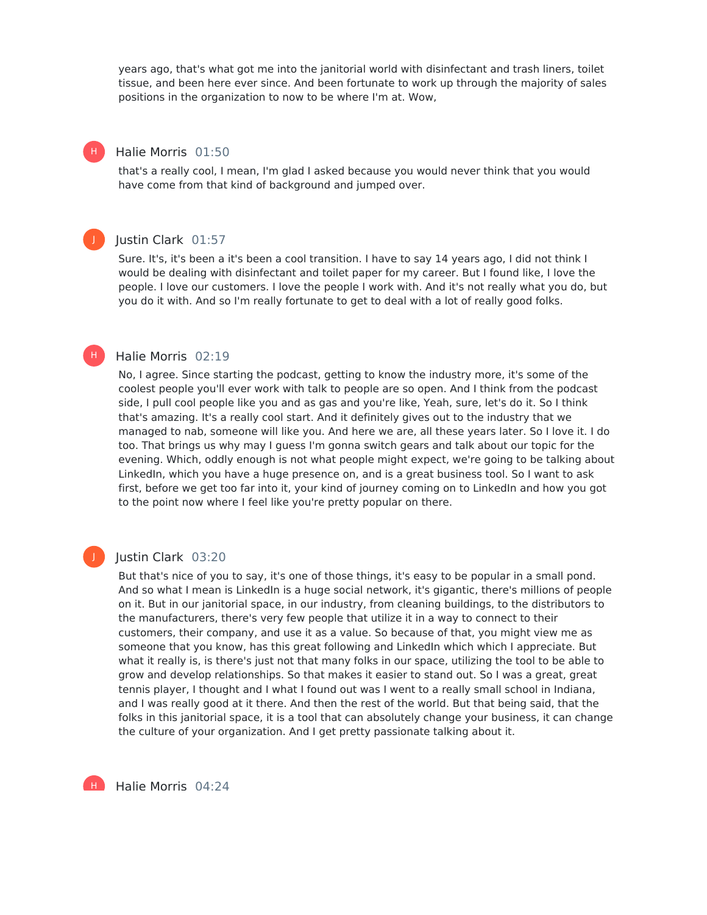years ago, that's what got me into the janitorial world with disinfectant and trash liners, toilet tissue, and been here ever since. And been fortunate to work up through the majority of sales positions in the organization to now to be where I'm at. Wow,

#### Halie Morris 01:50

that's a really cool, I mean, I'm glad I asked because you would never think that you would have come from that kind of background and jumped over.



H |

#### Justin Clark 01:57

Sure. It's, it's been a it's been a cool transition. I have to say 14 years ago, I did not think I would be dealing with disinfectant and toilet paper for my career. But I found like, I love the people. I love our customers. I love the people I work with. And it's not really what you do, but you do it with. And so I'm really fortunate to get to deal with a lot of really good folks.

#### Halie Morris 02:19 H)

No, I agree. Since starting the podcast, getting to know the industry more, it's some of the coolest people you'll ever work with talk to people are so open. And I think from the podcast side, I pull cool people like you and as gas and you're like, Yeah, sure, let's do it. So I think that's amazing. It's a really cool start. And it definitely gives out to the industry that we managed to nab, someone will like you. And here we are, all these years later. So I love it. I do too. That brings us why may I guess I'm gonna switch gears and talk about our topic for the evening. Which, oddly enough is not what people might expect, we're going to be talking about LinkedIn, which you have a huge presence on, and is a great business tool. So I want to ask first, before we get too far into it, your kind of journey coming on to LinkedIn and how you got to the point now where I feel like you're pretty popular on there.

### J

#### Justin Clark 03:20

But that's nice of you to say, it's one of those things, it's easy to be popular in a small pond. And so what I mean is LinkedIn is a huge social network, it's gigantic, there's millions of people on it. But in our janitorial space, in our industry, from cleaning buildings, to the distributors to the manufacturers, there's very few people that utilize it in a way to connect to their customers, their company, and use it as a value. So because of that, you might view me as someone that you know, has this great following and LinkedIn which which I appreciate. But what it really is, is there's just not that many folks in our space, utilizing the tool to be able to grow and develop relationships. So that makes it easier to stand out. So I was a great, great tennis player, I thought and I what I found out was I went to a really small school in Indiana, and I was really good at it there. And then the rest of the world. But that being said, that the folks in this janitorial space, it is a tool that can absolutely change your business, it can change the culture of your organization. And I get pretty passionate talking about it.

Halie Morris 04:24 H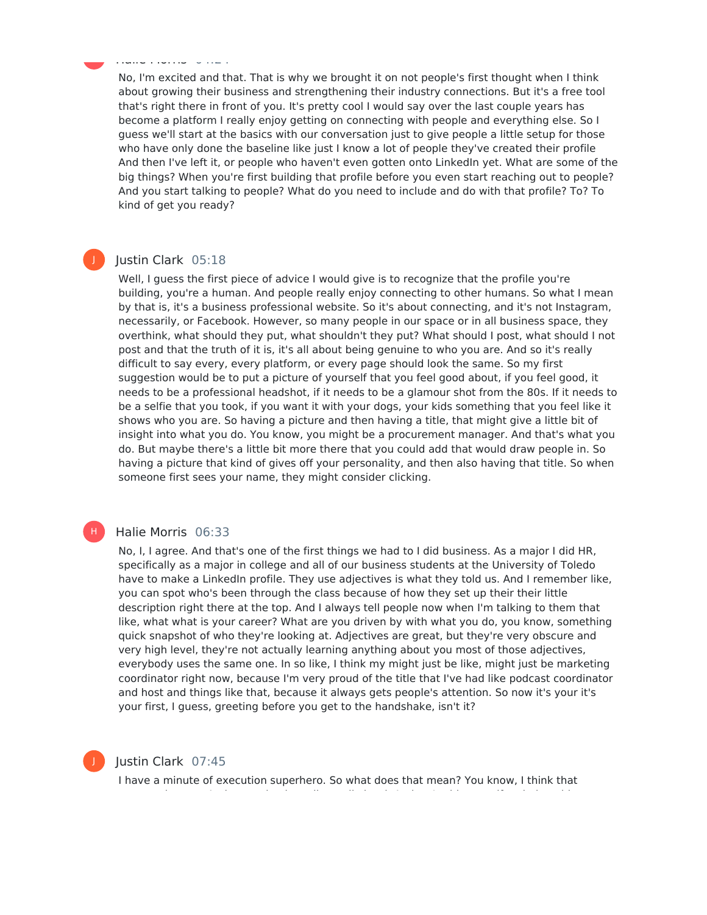No, I'm excited and that. That is why we brought it on not people's first thought when I think about growing their business and strengthening their industry connections. But it's a free tool that's right there in front of you. It's pretty cool I would say over the last couple years has become a platform I really enjoy getting on connecting with people and everything else. So I guess we'll start at the basics with our conversation just to give people a little setup for those who have only done the baseline like just I know a lot of people they've created their profile And then I've left it, or people who haven't even gotten onto LinkedIn yet. What are some of the big things? When you're first building that profile before you even start reaching out to people? And you start talking to people? What do you need to include and do with that profile? To? To kind of get you ready?

### Justin Clark 05:18

Halie Morris 04:24

H

J

Well, I guess the first piece of advice I would give is to recognize that the profile you're building, you're a human. And people really enjoy connecting to other humans. So what I mean by that is, it's a business professional website. So it's about connecting, and it's not Instagram, necessarily, or Facebook. However, so many people in our space or in all business space, they overthink, what should they put, what shouldn't they put? What should I post, what should I not post and that the truth of it is, it's all about being genuine to who you are. And so it's really difficult to say every, every platform, or every page should look the same. So my first suggestion would be to put a picture of yourself that you feel good about, if you feel good, it needs to be a professional headshot, if it needs to be a glamour shot from the 80s. If it needs to be a selfie that you took, if you want it with your dogs, your kids something that you feel like it shows who you are. So having a picture and then having a title, that might give a little bit of insight into what you do. You know, you might be a procurement manager. And that's what you do. But maybe there's a little bit more there that you could add that would draw people in. So having a picture that kind of gives off your personality, and then also having that title. So when someone first sees your name, they might consider clicking.

#### Halie Morris 06:33

No, I, I agree. And that's one of the first things we had to I did business. As a major I did HR, specifically as a major in college and all of our business students at the University of Toledo have to make a LinkedIn profile. They use adjectives is what they told us. And I remember like, you can spot who's been through the class because of how they set up their their little description right there at the top. And I always tell people now when I'm talking to them that like, what what is your career? What are you driven by with what you do, you know, something quick snapshot of who they're looking at. Adjectives are great, but they're very obscure and very high level, they're not actually learning anything about you most of those adjectives, everybody uses the same one. In so like, I think my might just be like, might just be marketing coordinator right now, because I'm very proud of the title that I've had like podcast coordinator and host and things like that, because it always gets people's attention. So now it's your it's your first, I guess, greeting before you get to the handshake, isn't it?



H)

#### Justin Clark 07:45

I have a minute of execution superhero. So what does that mean? You know, I think that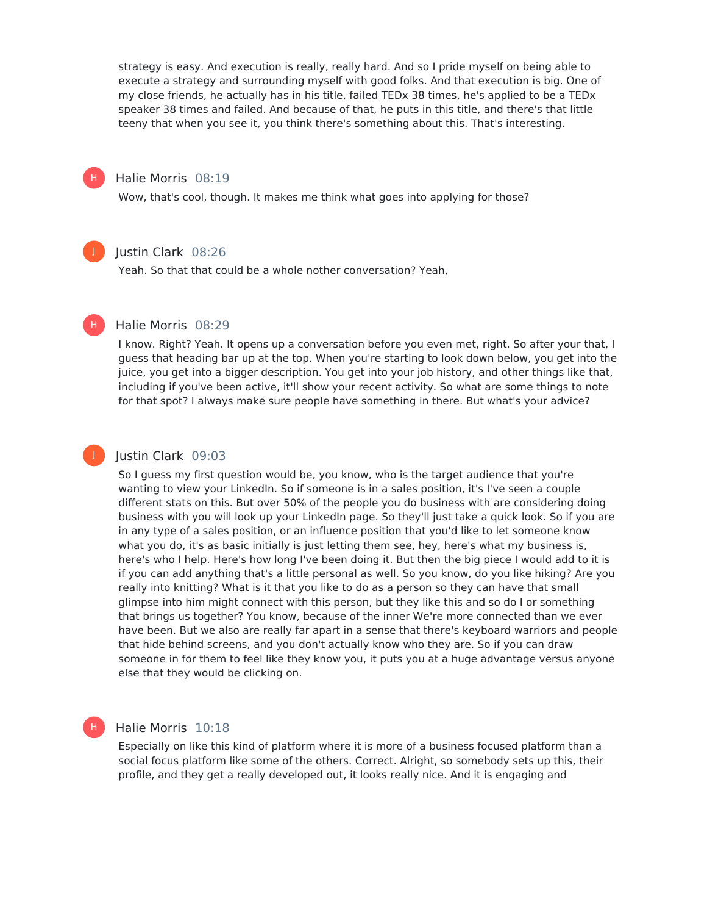strategy is easy. And execution is really, really hard. And so I pride myself on being able to execute a strategy and surrounding myself with good folks. And that execution is big. One of my close friends, he actually has in his title, failed TEDx 38 times, he's applied to be a TEDx speaker 38 times and failed. And because of that, he puts in this title, and there's that little teeny that when you see it, you think there's something about this. That's interesting.

#### Halie Morris 08:19

H)

J

H |

J

H

Wow, that's cool, though. It makes me think what goes into applying for those?

#### Justin Clark 08:26

Yeah. So that that could be a whole nother conversation? Yeah,

#### Halie Morris 08:29

I know. Right? Yeah. It opens up a conversation before you even met, right. So after your that, I guess that heading bar up at the top. When you're starting to look down below, you get into the juice, you get into a bigger description. You get into your job history, and other things like that, including if you've been active, it'll show your recent activity. So what are some things to note for that spot? I always make sure people have something in there. But what's your advice?

#### Justin Clark 09:03

So I guess my first question would be, you know, who is the target audience that you're wanting to view your LinkedIn. So if someone is in a sales position, it's I've seen a couple different stats on this. But over 50% of the people you do business with are considering doing business with you will look up your LinkedIn page. So they'll just take a quick look. So if you are in any type of a sales position, or an influence position that you'd like to let someone know what you do, it's as basic initially is just letting them see, hey, here's what my business is, here's who I help. Here's how long I've been doing it. But then the big piece I would add to it is if you can add anything that's a little personal as well. So you know, do you like hiking? Are you really into knitting? What is it that you like to do as a person so they can have that small glimpse into him might connect with this person, but they like this and so do I or something that brings us together? You know, because of the inner We're more connected than we ever have been. But we also are really far apart in a sense that there's keyboard warriors and people that hide behind screens, and you don't actually know who they are. So if you can draw someone in for them to feel like they know you, it puts you at a huge advantage versus anyone else that they would be clicking on.

#### Halie Morris 10:18

Especially on like this kind of platform where it is more of a business focused platform than a social focus platform like some of the others. Correct. Alright, so somebody sets up this, their profile, and they get a really developed out, it looks really nice. And it is engaging and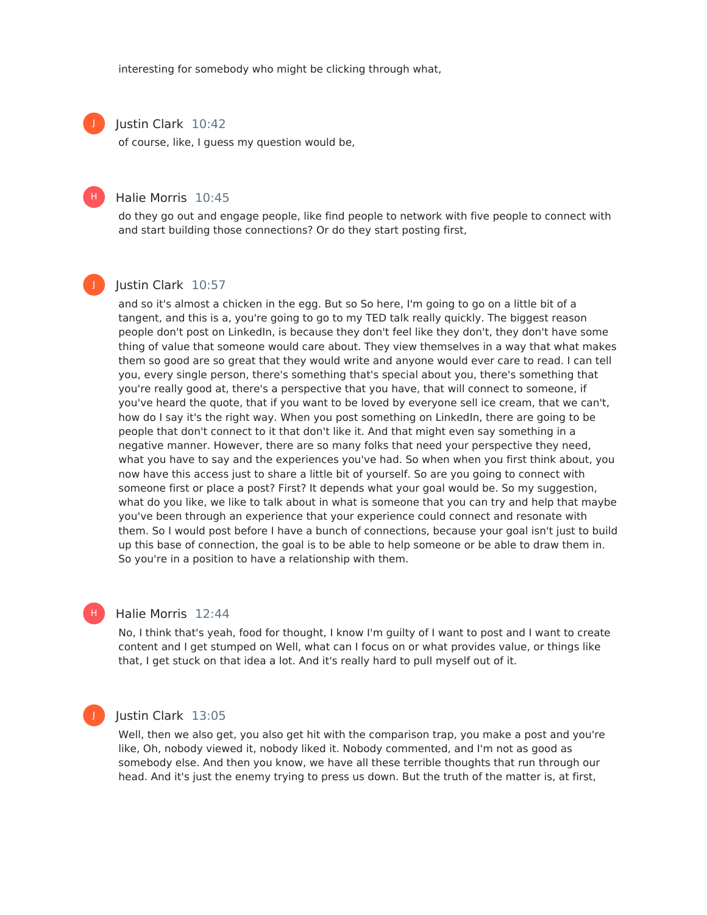interesting for somebody who might be clicking through what,

#### Justin Clark 10:42

J

H)

J

of course, like, I guess my question would be,

#### Halie Morris 10:45

do they go out and engage people, like find people to network with five people to connect with and start building those connections? Or do they start posting first,

#### Justin Clark 10:57

and so it's almost a chicken in the egg. But so So here, I'm going to go on a little bit of a tangent, and this is a, you're going to go to my TED talk really quickly. The biggest reason people don't post on LinkedIn, is because they don't feel like they don't, they don't have some thing of value that someone would care about. They view themselves in a way that what makes them so good are so great that they would write and anyone would ever care to read. I can tell you, every single person, there's something that's special about you, there's something that you're really good at, there's a perspective that you have, that will connect to someone, if you've heard the quote, that if you want to be loved by everyone sell ice cream, that we can't, how do I say it's the right way. When you post something on LinkedIn, there are going to be people that don't connect to it that don't like it. And that might even say something in a negative manner. However, there are so many folks that need your perspective they need, what you have to say and the experiences you've had. So when when you first think about, you now have this access just to share a little bit of yourself. So are you going to connect with someone first or place a post? First? It depends what your goal would be. So my suggestion, what do you like, we like to talk about in what is someone that you can try and help that maybe you've been through an experience that your experience could connect and resonate with them. So I would post before I have a bunch of connections, because your goal isn't just to build up this base of connection, the goal is to be able to help someone or be able to draw them in. So you're in a position to have a relationship with them.

#### Halie Morris 12:44

No, I think that's yeah, food for thought, I know I'm guilty of I want to post and I want to create content and I get stumped on Well, what can I focus on or what provides value, or things like that, I get stuck on that idea a lot. And it's really hard to pull myself out of it.

H)

Justin Clark 13:05

Well, then we also get, you also get hit with the comparison trap, you make a post and you're like, Oh, nobody viewed it, nobody liked it. Nobody commented, and I'm not as good as somebody else. And then you know, we have all these terrible thoughts that run through our head. And it's just the enemy trying to press us down. But the truth of the matter is, at first,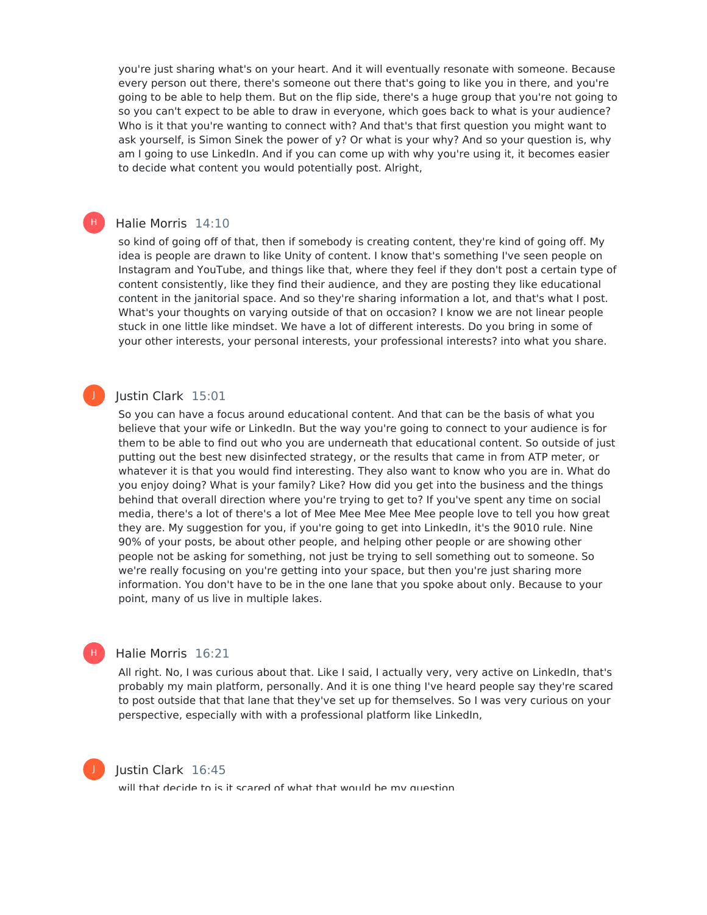you're just sharing what's on your heart. And it will eventually resonate with someone. Because every person out there, there's someone out there that's going to like you in there, and you're going to be able to help them. But on the flip side, there's a huge group that you're not going to so you can't expect to be able to draw in everyone, which goes back to what is your audience? Who is it that you're wanting to connect with? And that's that first question you might want to ask yourself, is Simon Sinek the power of y? Or what is your why? And so your question is, why am I going to use LinkedIn. And if you can come up with why you're using it, it becomes easier to decide what content you would potentially post. Alright,

#### Halie Morris 14:10

H)

J

so kind of going off of that, then if somebody is creating content, they're kind of going off. My idea is people are drawn to like Unity of content. I know that's something I've seen people on Instagram and YouTube, and things like that, where they feel if they don't post a certain type of content consistently, like they find their audience, and they are posting they like educational content in the janitorial space. And so they're sharing information a lot, and that's what I post. What's your thoughts on varying outside of that on occasion? I know we are not linear people stuck in one little like mindset. We have a lot of different interests. Do you bring in some of your other interests, your personal interests, your professional interests? into what you share.

#### Justin Clark 15:01

So you can have a focus around educational content. And that can be the basis of what you believe that your wife or LinkedIn. But the way you're going to connect to your audience is for them to be able to find out who you are underneath that educational content. So outside of just putting out the best new disinfected strategy, or the results that came in from ATP meter, or whatever it is that you would find interesting. They also want to know who you are in. What do you enjoy doing? What is your family? Like? How did you get into the business and the things behind that overall direction where you're trying to get to? If you've spent any time on social media, there's a lot of there's a lot of Mee Mee Mee Mee Mee people love to tell you how great they are. My suggestion for you, if you're going to get into LinkedIn, it's the 9010 rule. Nine 90% of your posts, be about other people, and helping other people or are showing other people not be asking for something, not just be trying to sell something out to someone. So we're really focusing on you're getting into your space, but then you're just sharing more information. You don't have to be in the one lane that you spoke about only. Because to your point, many of us live in multiple lakes.

#### Halie Morris 16:21

All right. No, I was curious about that. Like I said, I actually very, very active on LinkedIn, that's probably my main platform, personally. And it is one thing I've heard people say they're scared to post outside that that lane that they've set up for themselves. So I was very curious on your perspective, especially with with a professional platform like LinkedIn,



H)

#### Justin Clark 16:45

will that decide to is it scared of what that would be my question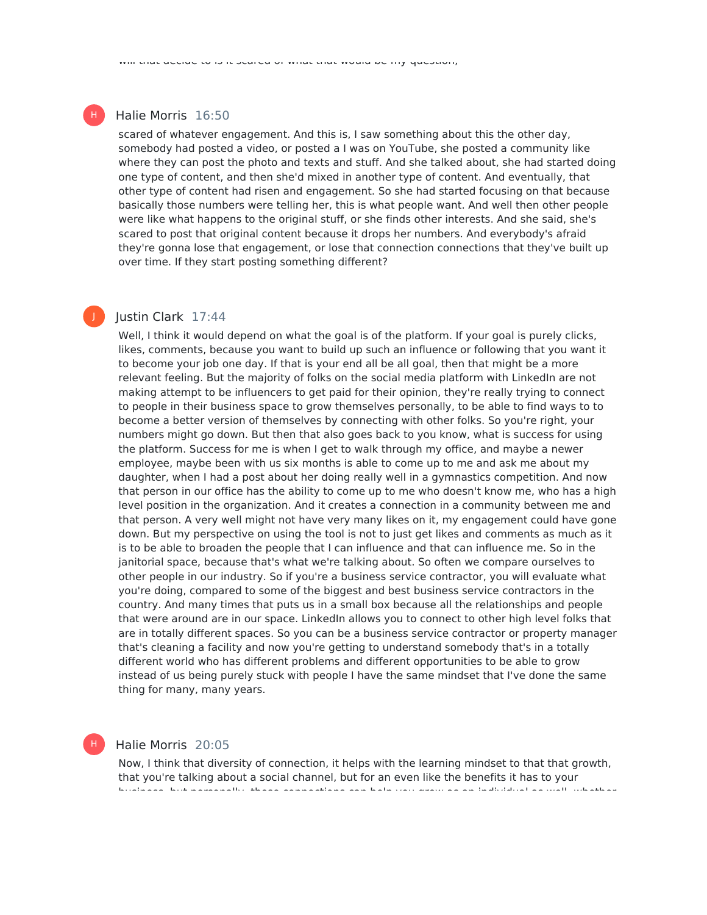#### Halie Morris 16:50

scared of whatever engagement. And this is, I saw something about this the other day, somebody had posted a video, or posted a I was on YouTube, she posted a community like where they can post the photo and texts and stuff. And she talked about, she had started doing one type of content, and then she'd mixed in another type of content. And eventually, that other type of content had risen and engagement. So she had started focusing on that because basically those numbers were telling her, this is what people want. And well then other people were like what happens to the original stuff, or she finds other interests. And she said, she's scared to post that original content because it drops her numbers. And everybody's afraid they're gonna lose that engagement, or lose that connection connections that they've built up over time. If they start posting something different?

#### Justin Clark 17:44

Well, I think it would depend on what the goal is of the platform. If your goal is purely clicks, likes, comments, because you want to build up such an influence or following that you want it to become your job one day. If that is your end all be all goal, then that might be a more relevant feeling. But the majority of folks on the social media platform with LinkedIn are not making attempt to be influencers to get paid for their opinion, they're really trying to connect to people in their business space to grow themselves personally, to be able to find ways to to become a better version of themselves by connecting with other folks. So you're right, your numbers might go down. But then that also goes back to you know, what is success for using the platform. Success for me is when I get to walk through my office, and maybe a newer employee, maybe been with us six months is able to come up to me and ask me about my daughter, when I had a post about her doing really well in a gymnastics competition. And now that person in our office has the ability to come up to me who doesn't know me, who has a high level position in the organization. And it creates a connection in a community between me and that person. A very well might not have very many likes on it, my engagement could have gone down. But my perspective on using the tool is not to just get likes and comments as much as it is to be able to broaden the people that I can influence and that can influence me. So in the janitorial space, because that's what we're talking about. So often we compare ourselves to other people in our industry. So if you're a business service contractor, you will evaluate what you're doing, compared to some of the biggest and best business service contractors in the country. And many times that puts us in a small box because all the relationships and people that were around are in our space. LinkedIn allows you to connect to other high level folks that are in totally different spaces. So you can be a business service contractor or property manager that's cleaning a facility and now you're getting to understand somebody that's in a totally different world who has different problems and different opportunities to be able to grow instead of us being purely stuck with people I have the same mindset that I've done the same thing for many, many years.

#### Halie Morris 20:05

H

Now, I think that diversity of connection, it helps with the learning mindset to that that growth, that you're talking about a social channel, but for an even like the benefits it has to your business, but personally, those connections can help you grow as an individual as well, whether



J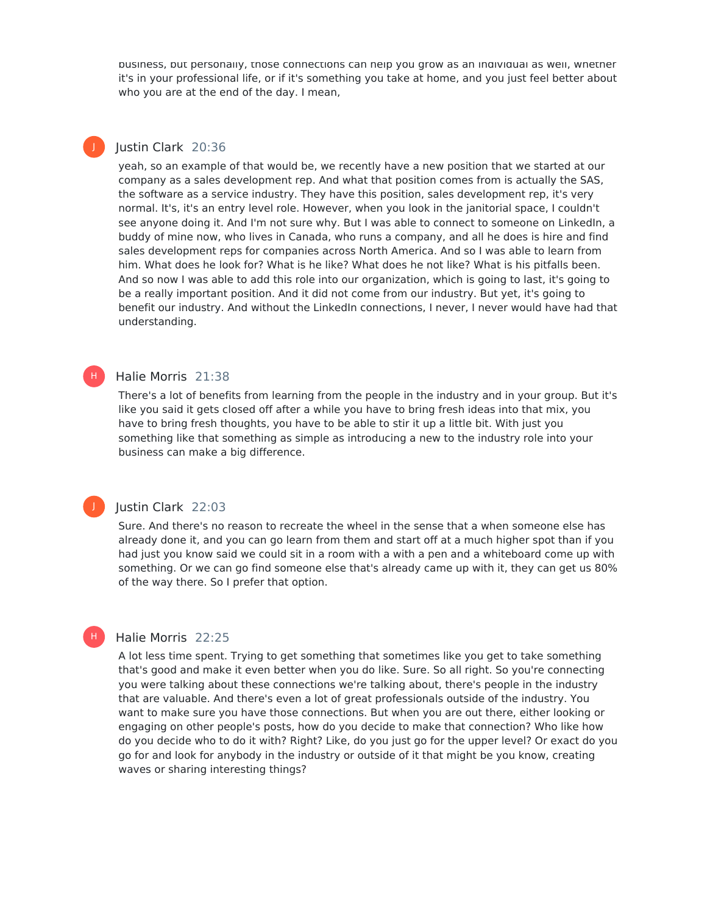business, but personally, those connections can help you grow as an individual as well, whether it's in your professional life, or if it's something you take at home, and you just feel better about who you are at the end of the day. I mean,

#### Justin Clark 20:36

J

J

H

yeah, so an example of that would be, we recently have a new position that we started at our company as a sales development rep. And what that position comes from is actually the SAS, the software as a service industry. They have this position, sales development rep, it's very normal. It's, it's an entry level role. However, when you look in the janitorial space, I couldn't see anyone doing it. And I'm not sure why. But I was able to connect to someone on LinkedIn, a buddy of mine now, who lives in Canada, who runs a company, and all he does is hire and find sales development reps for companies across North America. And so I was able to learn from him. What does he look for? What is he like? What does he not like? What is his pitfalls been. And so now Iwas able to add this role into our organization, which is going to last, it's going to be a really important position. And it did not come from our industry. But yet, it's going to benefit our industry. And without the LinkedIn connections, I never, I never would have had that understanding.

#### Halie Morris 21:38 H)

There's a lot of benefits from learning from the people in the industry and in your group. But it's like you said it gets closed off after a while you have to bring fresh ideas into that mix, you have to bring fresh thoughts, you have to be able to stir it up a little bit. With just you something like that something as simple as introducing a new to the industry role into your business can make a big difference.

#### Justin Clark 22:03

Sure. And there's no reason to recreate the wheel in the sense that a when someone else has already done it, and you can go learn from them and start off at a much higher spot than if you had just you know said we could sit in a room with a with a pen and a whiteboard come up with something. Or we can go find someone else that's already came up with it, they can get us 80% of the way there. So I prefer that option.

#### Halie Morris 22:25

A lot less time spent. Trying to get something that sometimes like you get to take something that's good and make it even better when you do like. Sure. So all right. So you're connecting you were talking about these connections we're talking about, there's people in the industry that are valuable. And there's even a lot of great professionals outside of the industry. You want to make sure you have those connections. But when you are out there, either looking or engaging on other people's posts, how do you decide to make that connection? Who like how do you decide who to do it with? Right? Like, do you just go for the upper level? Or exact do you go for and look for anybody in the industry or outside of it that might be you know, creating waves or sharing interesting things?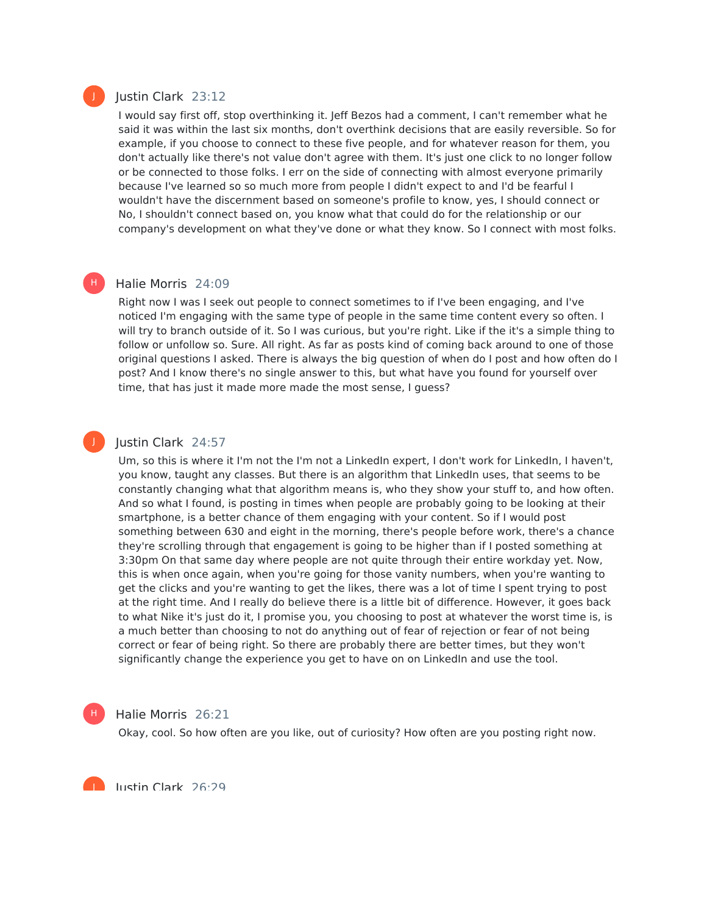#### Justin Clark 23:12

I would say first off, stop overthinking it. Jeff Bezos had a comment, I can't remember what he said it was within the last six months, don't overthink decisions that are easily reversible. So for example, if you choose to connect to these five people, and for whatever reason for them, you don't actually like there's not value don't agree with them. It's just one click to no longer follow or be connected to those folks. I err on the side of connecting with almost everyone primarily because I've learned so so much more from people I didn't expect to and I'd be fearful I wouldn't have the discernment based on someone's profile to know, yes, I should connect or No, I shouldn't connect based on, you know what that could do for the relationship or our company's development on what they've done or what they know. So I connect with most folks.

#### Halie Morris 24:09

Right now Iwas I seek out people to connect sometimes to if I've been engaging, and I've noticed I'm engaging with the same type of people in the same time content every so often. I will try to branch outside of it. So I was curious, but you're right. Like if the it's a simple thing to follow or unfollow so. Sure. All right. As far as posts kind of coming back around to one of those original questions I asked. There is always the big question of when do I post and how often do I post? And I know there's no single answer to this, but what have you found for yourself over time, that has just it made more made the most sense, I guess?

#### Justin Clark 24:57

Um, so this is where it I'm not the I'm not a LinkedIn expert, I don't work for LinkedIn, I haven't, you know, taught any classes. But there is an algorithm that LinkedIn uses, that seems to be constantly changing what that algorithm means is, who they show your stuff to, and how often. And so what I found, is posting in times when people are probably going to be looking at their smartphone, is a better chance of them engaging with your content. So if I would post something between 630 and eight in the morning, there's people before work, there's a chance they're scrolling through that engagement is going to be higher than if I posted something at 3:30pm On that same day where people are not quite through their entire workday yet. Now, this is when once again, when you're going for those vanity numbers, when you're wanting to get the clicks and you're wanting to get the likes, there was a lot of time I spent trying to post at the right time. And I really do believe there is a little bit of difference. However, it goes back to what Nike it's just do it, I promise you, you choosing to post at whatever the worst time is, is a much better than choosing to not do anything out of fear of rejection or fear of not being correct or fear of being right. So there are probably there are better times, but they won't significantly change the experience you get to have on on LinkedIn and use the tool.



J

#### Halie Morris 26:21

Okay, cool. So how often are you like, out of curiosity? How often are you posting right now.

Justin Clark 26:29

J

H |

J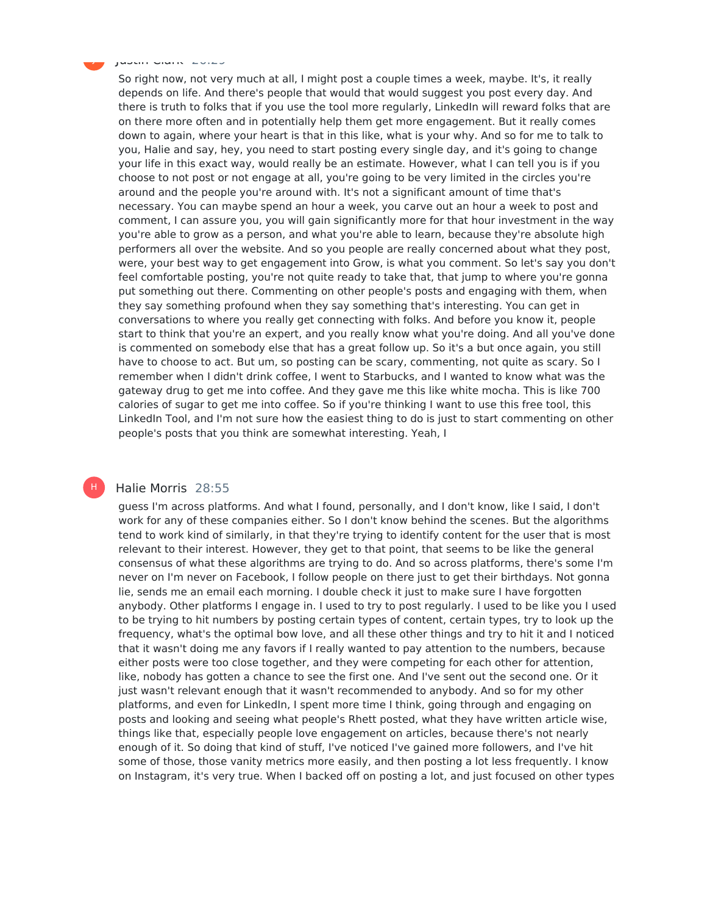Justin Clark 26:29

J

So right now, not very much at all, I might post a couple times a week, maybe. It's, it really depends on life. And there's people that would that would suggest you post every day. And there is truth to folks that if you use the tool more regularly, LinkedIn will reward folks that are on there more often and in potentially help them get more engagement. But it really comes down to again, where your heart is that in this like, what is your why. And so for me to talk to you, Halie and say, hey, you need to start posting every single day, and it's going to change your life in this exact way, would really be an estimate. However, what I can tell you is if you choose to not post or not engage at all, you're going to be very limited in the circles you're around and the people you're around with. It's not a significant amount of time that's necessary. You can maybe spend an hour a week, you carve out an hour a week to post and comment, I can assure you, you will gain significantly more for that hour investment in the way you're able to grow as a person, and what you're able to learn, because they're absolute high performers all over the website. And so you people are really concerned about what they post, were, your best way to get engagement into Grow, is what you comment. So let's say you don't feel comfortable posting, you're not quite ready to take that, that jump to where you're gonna put something out there. Commenting on other people's posts and engaging with them, when they say something profound when they say something that's interesting. You can get in conversations to where you really get connecting with folks. And before you know it, people start to think that you're an expert, and you really know what you're doing. And all you've done is commented on somebody else that has a great follow up. So it's a but once again, you still have to choose to act. But um, so posting can be scary, commenting, not quite as scary. So I remember when I didn't drink coffee, I went to Starbucks, and I wanted to know what was the gateway drug to get me into coffee. And they gave me this like white mocha. This is like 700 calories of sugar to get me into coffee. So if you're thinking I want to use this free tool, this LinkedIn Tool, and I'm not sure how the easiest thing to do is just to start commenting on other people's posts that you think are somewhat interesting. Yeah, I

#### Halie Morris 28:55

H

guess I'm across platforms. And what I found, personally, and I don't know, like I said, I don't work for any of these companies either. So I don't know behind the scenes. But the algorithms tend to work kind of similarly, in that they're trying to identify content for the user that is most relevant to their interest. However, they get to that point, that seems to be like the general consensus of what these algorithms are trying to do. And so across platforms, there's some I'm never on I'm never on Facebook, I follow people on there just to get their birthdays. Not gonna lie, sends me an email each morning. I double check it just to make sure I have forgotten anybody. Other platforms I engage in. I used to try to post regularly. I used to be like you I used to be trying to hit numbers by posting certain types of content, certain types, try to look up the frequency, what's the optimal bow love, and all these other things and try to hit it and I noticed that it wasn't doing me any favors if I really wanted to pay attention to the numbers, because either posts were too close together, and they were competing for each other for attention, like, nobody has gotten a chance to see the first one. And I've sent out the second one. Or it just wasn't relevant enough that it wasn't recommended to anybody. And so for my other platforms, and even for LinkedIn, I spent more time I think, going through and engaging on posts and looking and seeing what people's Rhett posted, what they have written article wise, things like that, especially people love engagement on articles, because there's not nearly enough of it. So doing that kind of stuff, I've noticed I've gained more followers, and I've hit some of those, those vanity metrics more easily, and then posting a lot less frequently. I know on Instagram, it's very true. When I backed off on posting a lot, and just focused on other types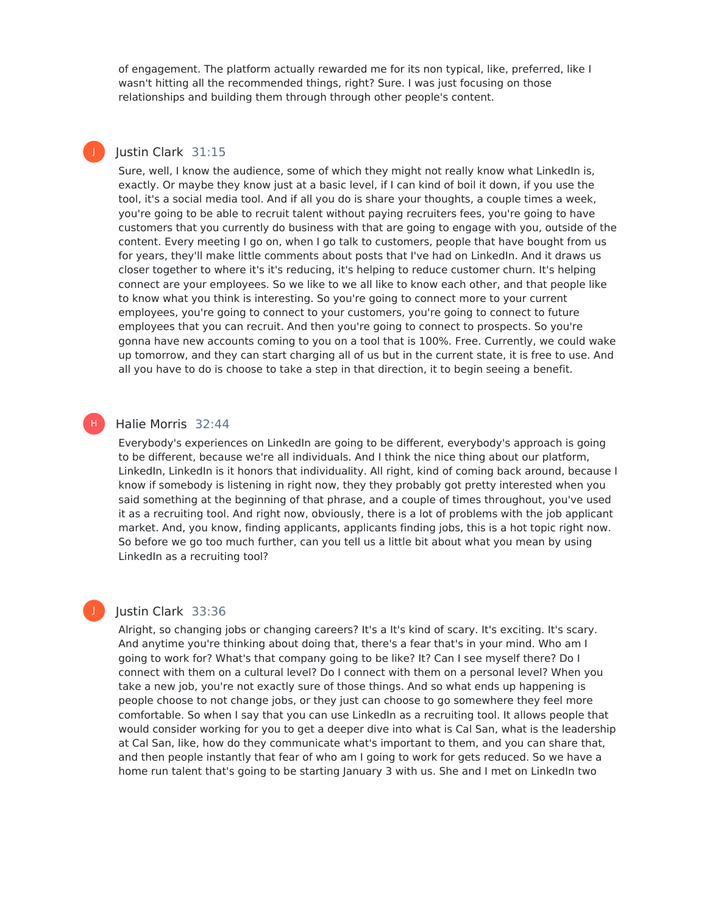of engagement. The platform actually rewarded me for its non typical, like, preferred, like I wasn't hitting all the recommended things, right? Sure. I was just focusing on those relationships and building them through through other people's content.

## Justin Clark 31:15

J

H)

Sure, well, I know the audience, some of which they might not really know what LinkedIn is, exactly. Or maybe they know just at a basic level, if I can kind of boil it down, if you use the tool, it's a social media tool. And if all you do is share your thoughts, a couple times a week, you're going to be able to recruit talent without paying recruiters fees, you're going to have customers that you currently do business with that are going to engage with you, outside of the content. Every meeting I go on, when I go talk to customers, people that have bought from us for years, they'll make little comments about posts that I've had on LinkedIn. And it draws us closer together to where it's it's reducing, it's helping to reduce customer churn. It's helping connect are your employees. So we like to we all like to know each other, and that people like to know what you think is interesting. So you're going to connect more to your current employees, you're going to connect to your customers, you're going to connect to future employees that you can recruit. And then you're going to connect to prospects. So you're gonna have new accounts coming to you on a tool that is 100%. Free. Currently, we could wake up tomorrow, and they can start charging all of us but in the current state, it is free to use. And all you have to do is choose to take a step in that direction, it to begin seeing a benefit.

#### Halie Morris 32:44

Everybody's experiences on LinkedIn are going to be different, everybody's approach is going to be different, because we're all individuals. And I think the nice thing about our platform, LinkedIn, LinkedIn is it honors that individuality. All right, kind of coming back around, because I know if somebody is listening in right now, they they probably got pretty interested when you said something at the beginning of that phrase, and a couple of times throughout, you've used it as a recruiting tool. And right now, obviously, there is a lot of problems with the job applicant market. And, you know, finding applicants, applicants finding jobs, this is a hot topic right now. So before we go too much further, can you tell us a little bit about what you mean by using LinkedIn as a recruiting tool?

#### Justin Clark 33:36

Alright, so changing jobs or changing careers? It's a It's kind of scary. It's exciting. It's scary. And anytime you're thinking about doing that, there's a fear that's in your mind. Who am I going to work for? What's that company going to be like? It? Can I see myself there? Do I connect with them on a cultural level? Do I connect with them on a personal level? When you take a new job, you're not exactly sure of those things. And so what ends up happening is people choose to not change jobs, or they just can choose to go somewhere they feel more comfortable. So when I say that you can use LinkedIn as a recruiting tool. It allows people that would consider working for you to get a deeper dive into what is Cal San, what is the leadership at Cal San, like, how do they communicate what's important to them, and you can share that, and then people instantly that fear of who am I going to work for gets reduced. So we have a home run talent that's going to be starting January 3 with us. She and I met on LinkedIn two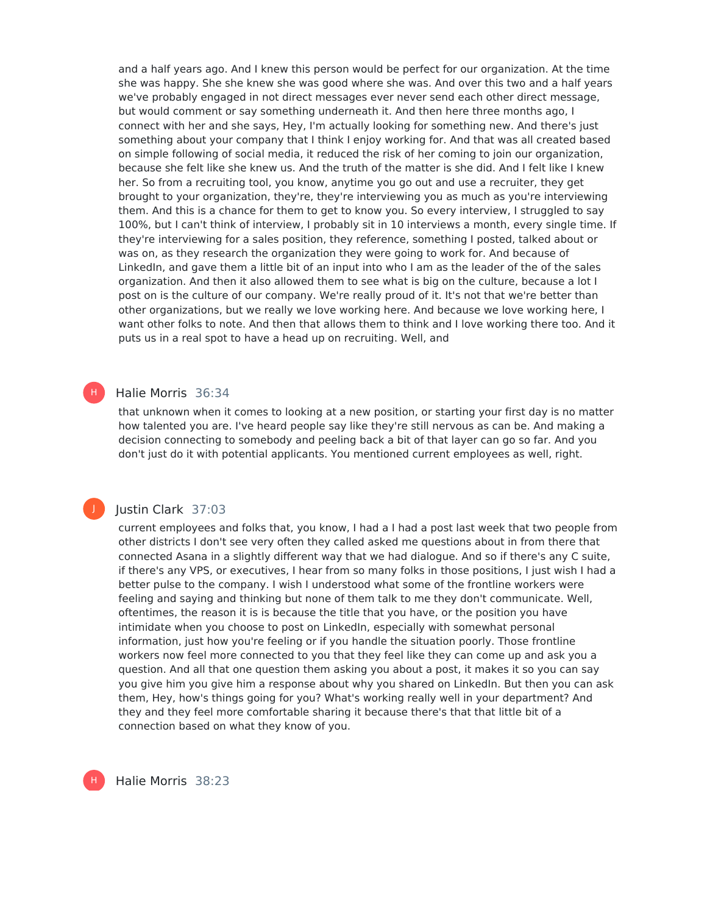and a half years ago. And I knew this person would be perfect for our organization. At the time she was happy. She she knew she was good where she was. And over this two and a half years we've probably engaged in not direct messages ever never send each other direct message, but would comment or say something underneath it. And then here three months ago, I connect with her and she says, Hey, I'm actually looking for something new. And there's just something about your company that I think I enjoy working for. And that was all created based on simple following of social media, it reduced the risk of her coming to join our organization, because she felt like she knew us. And the truth of the matter is she did. And I felt like I knew her. So from a recruiting tool, you know, anytime you go out and use a recruiter, they get brought to your organization, they're, they're interviewing you as much as you're interviewing them. And this is a chance for them to get to know you. So every interview, I struggled to say 100%, but I can't think of interview, I probably sit in 10 interviews a month, every single time. If they're interviewing for a sales position, they reference, something I posted, talked about or was on, as they research the organization they were going to work for. And because of LinkedIn, and gave them a little bit of an input into who I am as the leader of the of the sales organization. And then it also allowed them to see what is big on the culture, because a lot I post on is the culture of our company. We're really proud of it. It's not that we're better than other organizations, but we really we love working here. And because we love working here, I want other folks to note. And then that allows them to think and I love working there too. And it puts us in a real spot to have a head up on recruiting. Well, and

#### Halie Morris 36:34

H |

J

H

that unknown when it comes to looking at a new position, or starting your first day is no matter how talented you are. I've heard people say like they're still nervous as can be. And making a decision connecting to somebody and peeling back a bit of that layer can go so far. And you don't just do it with potential applicants. You mentioned current employees as well, right.

#### Justin Clark 37:03

current employees and folks that, you know, I had a I had a post last week that two people from other districts I don't see very often they called asked me questions about in from there that connected Asana in a slightly different way that we had dialogue. And so if there's any C suite, if there's any VPS, or executives, I hear from so many folks in those positions, I just wish I had a better pulse to the company. I wish I understood what some of the frontline workers were feeling and saying and thinking but none of them talk to me they don't communicate. Well, oftentimes, the reason it is is because the title that you have, or the position you have intimidate when you choose to post on LinkedIn, especially with somewhat personal information, just how you're feeling or if you handle the situation poorly. Those frontline workers now feel more connected to you that they feel like they can come up and ask you a question. And all that one question them asking you about a post, it makes it so you can say you give him you give him a response about why you shared on LinkedIn. But then you can ask them, Hey, how's things going for you? What's working really well in your department? And they and they feel more comfortable sharing it because there's that that little bit of a connection based on what they know of you.

Halie Morris 38:23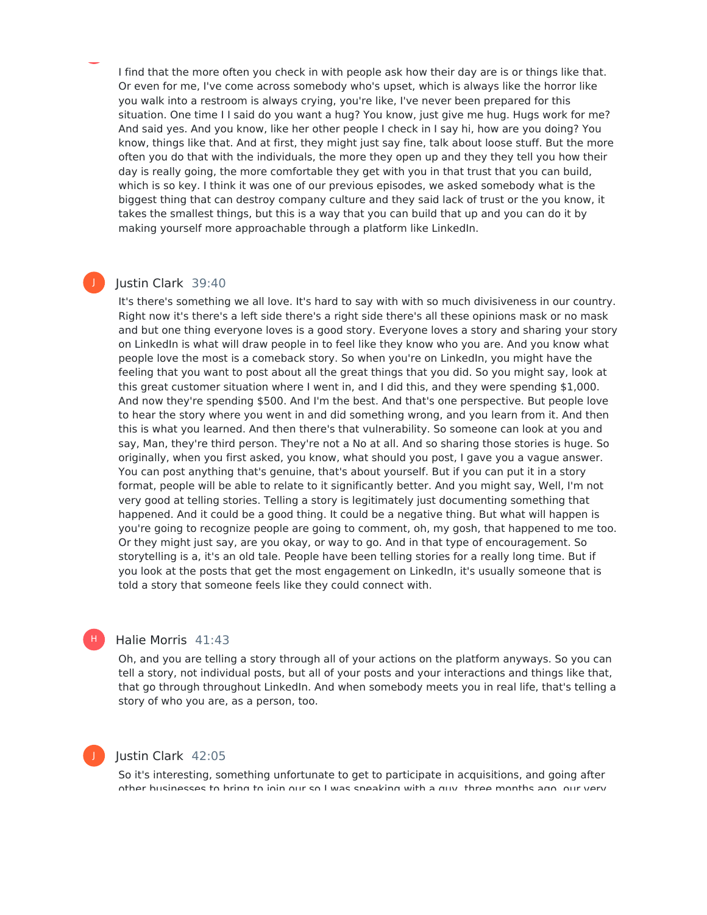I find that the more often you check in with people ask how their day are is or things like that. Or even for me, I've come across somebody who's upset, which is always like the horror like you walk into a restroom is always crying, you're like, I've never been prepared for this situation. One time I I said do you want a hug? You know, just give me hug. Hugs work for me? And said yes. And you know, like her other people I check in I say hi, how are you doing? You know, things like that. And at first, they might just say fine, talk about loose stuff. But the more often you do that with the individuals, the more they open up and they they tell you how their day is really going, the more comfortable they get with you in that trust that you can build, which is so key. I think it was one of our previous episodes, we asked somebody what is the biggest thing that can destroy company culture and they said lack of trust or the you know, it takes the smallest things, but this is a way that you can build that up and you can do it by making yourself more approachable through a platform like LinkedIn.

#### Justin Clark 39:40

J

It's there's something we all love. It's hard to say with with so much divisiveness in our country. Right now it's there's a left side there's a right side there's all these opinions mask or no mask and but one thing everyone loves is a good story. Everyone loves a story and sharing your story on LinkedIn is what will draw people in to feel like they know who you are. And you know what people love the most is a comeback story. So when you're on LinkedIn, you might have the feeling that you want to post about all the great things that you did. So you might say, look at this great customer situation where I went in, and I did this, and they were spending \$1,000. And now they're spending \$500. And I'm the best. And that's one perspective. But people love to hear the story where you went in and did something wrong, and you learn from it. And then this is what you learned. And then there's that vulnerability. So someone can look at you and say, Man, they're third person. They're not a No at all. And so sharing those stories is huge. So originally, when you first asked, you know, what should you post, I gave you a vague answer. You can post anything that's genuine, that's about yourself. But if you can put it in a story format, people will be able to relate to it significantly better. And you might say, Well, I'm not very good at telling stories. Telling a story is legitimately just documenting something that happened. And it could be a good thing. It could be a negative thing. But what will happen is you're going to recognize people are going to comment, oh, my gosh, that happened to me too. Or they might just say, are you okay, or way to go. And in that type of encouragement. So storytelling is a, it's an old tale. People have been telling stories for a really long time. But if you look at the posts that get the most engagement on LinkedIn, it's usually someone that is told a story that someone feels like they could connect with.

#### Halie Morris 41:43 H |

Oh, and you are telling a story through all of your actions on the platform anyways. So you can tell a story, not individual posts, but all of your posts and your interactions and things like that, that go through throughout LinkedIn. And when somebody meets you in real life, that's telling a story of who you are, as a person, too.

#### Justin Clark 42:05

So it's interesting, something unfortunate to get to participate in acquisitions, and going after other businesses to bring to join our so I was speaking with a guy, three months ago, our very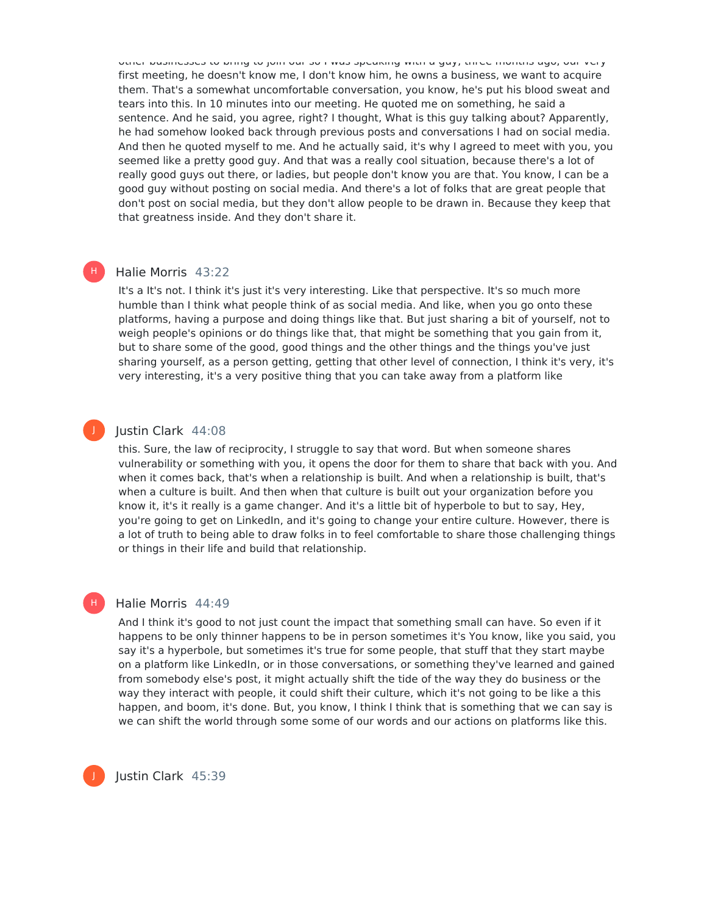other businesses to bring to join our so I was speaking with a guy, three months ago, our very first meeting, he doesn't know me, I don't know him, he owns a business, we want to acquire them. That's a somewhat uncomfortable conversation, you know, he's put his blood sweat and tears into this. In 10 minutes into our meeting. He quoted me on something, he said a sentence. And he said, you agree, right? I thought, What is this guy talking about? Apparently, he had somehow looked back through previous posts and conversations I had on social media. And then he quoted myself to me. And he actually said, it's why I agreed to meet with you, you seemed like a pretty good guy. And that was a really cool situation, because there's a lot of really good guys out there, or ladies, but people don't know you are that. You know, I can be a good guy without posting on social media. And there's a lot of folks that are great people that don't post on social media, but they don't allow people to be drawn in. Because they keep that that greatness inside. And they don't share it.

#### Halie Morris 43:22

H)

J

H)

It's a It's not. I think it's just it's very interesting. Like that perspective. It's so much more humble than I think what people think of as social media. And like, when you go onto these platforms, having a purpose and doing things like that. But just sharing a bit of yourself, not to weigh people's opinions or do things like that, that might be something that you gain from it, but to share some of the good, good things and the other things and the things you've just sharing yourself, as a person getting, getting that other level of connection, I think it's very, it's very interesting, it's a very positive thing that you can take away from a platform like

#### Justin Clark 44:08

this. Sure, the law of reciprocity, I struggle to say that word. But when someone shares vulnerability or something with you, it opens the door for them to share that back with you. And when it comes back, that's when a relationship is built. And when a relationship is built, that's when a culture is built. And then when that culture is built out your organization before you know it, it's it really is a game changer. And it's a little bit of hyperbole to but to say, Hey, you're going to get on LinkedIn, and it's going to change your entire culture. However, there is a lot of truth to being able to draw folks in to feel comfortable to share those challenging things or things in their life and build that relationship.

#### Halie Morris 44:49

And I think it's good to not just count the impact that something small can have. So even if it happens to be only thinner happens to be in person sometimes it's You know, like you said, you say it's a hyperbole, but sometimes it's true for some people, that stuff that they start maybe on a platform like LinkedIn, or in those conversations, or something they've learned and gained from somebody else's post, it might actually shift the tide of the way they do business or the way they interact with people, it could shift their culture, which it's not going to be like a this happen, and boom, it's done. But, you know, I think I think that is something that we can say is we can shift the world through some some of our words and our actions on platforms like this.

Justin Clark 45:39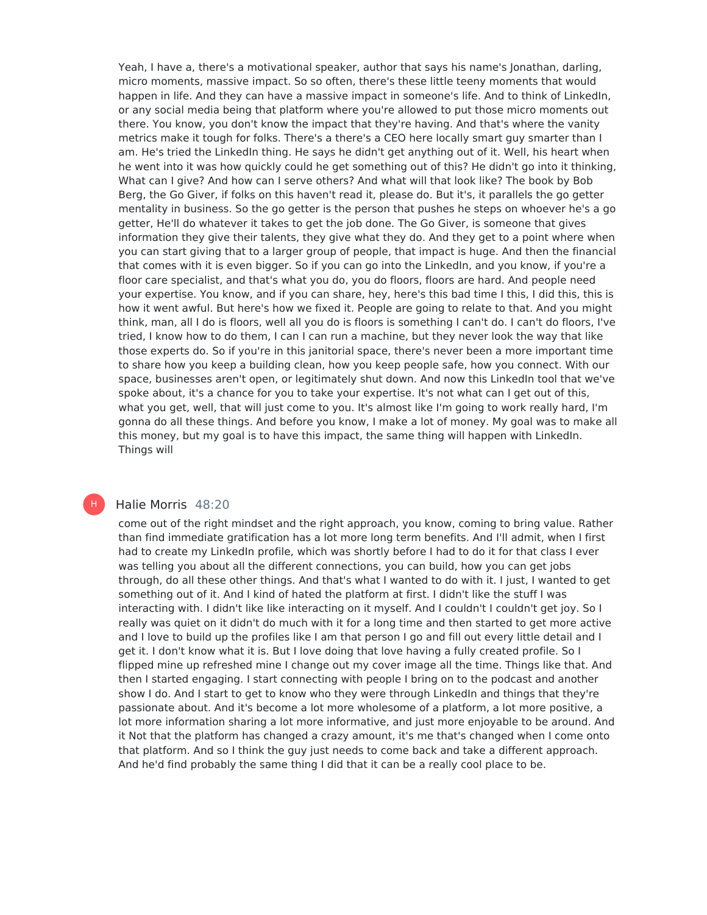Yeah, I have a, there's a motivational speaker, author that says his name's Jonathan, darling, micro moments, massive impact. So so often, there's these little teeny moments that would happen in life. And they can have a massive impact in someone's life. And to think of LinkedIn, or any social media being that platform where you're allowed to put those micro moments out there. You know, you don't know the impact that they're having. And that's where the vanity metrics make it tough for folks. There's a there's a CEO here locally smart guy smarter than I am. He's tried the LinkedIn thing. He says he didn't get anything out of it. Well, his heart when he went into it was how quickly could he get something out of this? He didn't go into it thinking, What can I give? And how can I serve others? And what will that look like? The book by Bob Berg, the Go Giver, if folks on this haven't read it, please do. But it's, it parallels the go getter mentality in business. So the go getter is the person that pushes he steps on whoever he's a go getter, He'll do whatever it takes to get the job done. The Go Giver, is someone that gives information they give their talents, they give what they do. And they get to a point where when you can start giving that to a larger group of people, that impact is huge. And then the financial that comes with it is even bigger. So if you can go into the LinkedIn, and you know, if you're a floor care specialist, and that's what you do, you do floors, floors are hard. And people need your expertise. You know, and if you can share, hey, here's this bad time I this, I did this, this is how it went awful. But here's how we fixed it. People are going to relate to that. And you might think, man, all I do is floors, well all you do is floors is something I can't do. I can't do floors, I've tried, I know how to do them, I can I can run a machine, but they never look the way that like those experts do. So if you're in this janitorial space, there's never been a more important time to share how you keep a building clean, how you keep people safe, how you connect. With our space, businesses aren't open, or legitimately shut down. And now this LinkedIn tool that we've spoke about, it's a chance for you to take your expertise. It's not what can I get out of this, what you get, well, that will just come to you. It's almost like I'm going to work really hard, I'm gonna do all these things. And before you know, I make a lot of money. My goal was to make all this money, but my goal is to have this impact, the same thing will happen with LinkedIn. Things will

#### Halie Morris 48:20

H

come out of the right mindset and the right approach, you know, coming to bring value. Rather than find immediate gratification has a lot more long term benefits. And I'll admit, when I first had to create my LinkedIn profile, which was shortly before I had to do it for that class I ever was telling you about all the different connections, you can build, how you can get jobs through, do all these other things. And that's what I wanted to do with it. I just, I wanted to get something out of it. And I kind of hated the platform at first. I didn't like the stuff I was interacting with. I didn't like like interacting on it myself. And I couldn't I couldn't get joy. So I really was quiet on it didn't do much with it for a long time and then started to get more active and I love to build up the profiles like I am that person I go and fill out every little detail and I get it. I don't know what it is. But I love doing that love having a fully created profile. So I flipped mine up refreshed mine I change out my cover image all the time. Things like that. And then I started engaging. I start connecting with people I bring on to the podcast and another show I do. And I start to get to know who they were through LinkedIn and things that they're passionate about. And it's become a lot more wholesome of a platform, a lot more positive, a lot more information sharing a lot more informative, and just more enjoyable to be around. And it Not that the platform has changed a crazy amount, it's me that's changed when I come onto that platform. And so I think the guy just needs to come back and take a different approach. And he'd find probably the same thing I did that it can be a really cool place to be.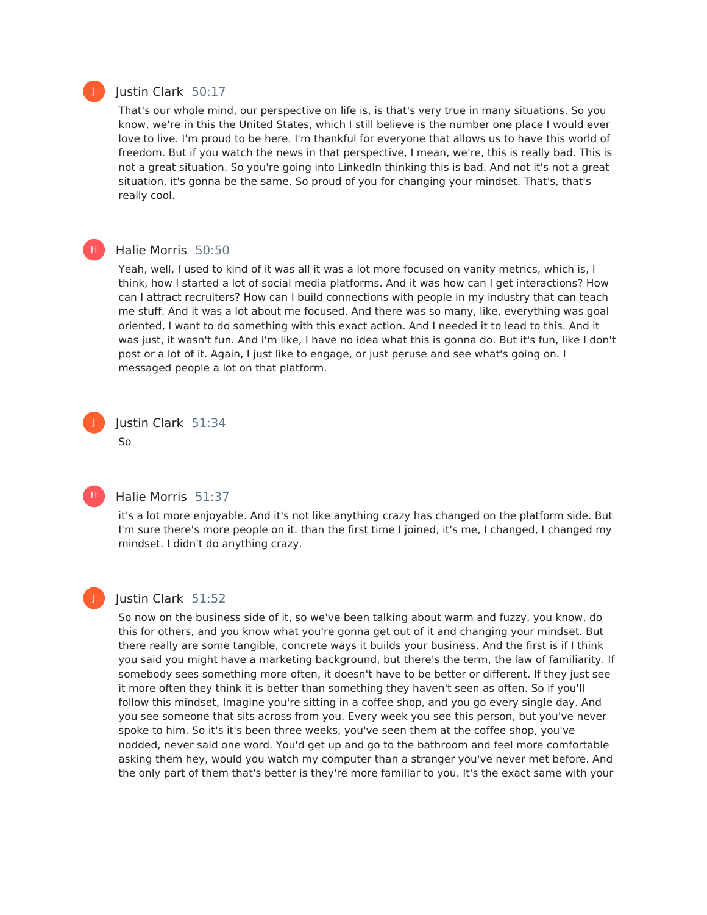

H)

#### Justin Clark 50:17

That's our whole mind, our perspective on life is, is that's very true in many situations. So you know, we're in this the United States, which I still believe is the number one place I would ever love to live. I'm proud to be here. I'm thankful for everyone that allows us to have this world of freedom. But if you watch the news in that perspective, I mean, we're, this is really bad. This is not a great situation. So you're going into LinkedIn thinking this is bad. And not it's not a great situation, it's gonna be the same. So proud of you for changing your mindset. That's, that's really cool.

#### Halie Morris 50:50

Yeah, well, I used to kind of it was all it was a lot more focused on vanity metrics, which is, I think, how Istarted a lot of social media platforms. And it was how can I get interactions? How can I attract recruiters? How can I build connections with people in my industry that can teach me stuff. And it was a lot about me focused. And there was so many, like, everything was goal oriented, I want to do something with this exact action. And I needed it to lead to this. And it was just, it wasn't fun. And I'm like, I have no idea what this is gonna do. But it's fun, like I don't post or a lot of it. Again, I just like to engage, or just peruse and see what's going on. I messaged people a lot on that platform.





J

#### Halie Morris 51:37

it's a lot more enjoyable. And it's not like anything crazy has changed on the platform side. But I'm sure there's more people on it. than the first time I joined, it's me, I changed, I changed my mindset. I didn't do anything crazy.

## Justin Clark 51:52

So now on the business side of it, so we've been talking about warm and fuzzy, you know, do this for others, and you know what you're gonna get out of it and changing your mindset. But there really are some tangible, concrete ways it builds your business. And the first is if I think you said you might have a marketing background, but there's the term, the law of familiarity. If somebody sees something more often, it doesn't have to be better or different. If they just see it more often they think it is better than something they haven't seen as often. So if you'll follow this mindset, Imagine you're sitting in a coffee shop, and you go every single day. And you see someone that sits across from you. Every week you see this person, but you've never spoke to him. So it's it's been three weeks, you've seen them at the coffee shop, you've nodded, never said one word. You'd get up and go to the bathroom and feel more comfortable asking them hey, would you watch my computer than a stranger you've never met before. And the only part of them that's better is they're more familiar to you. It's the exact same with your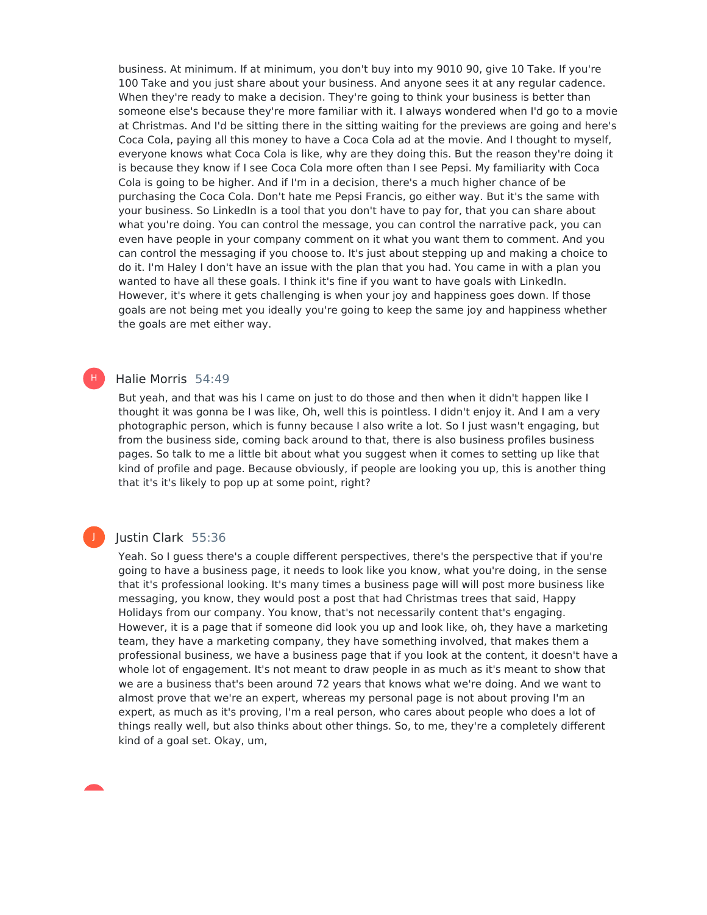business. At minimum. If at minimum, you don't buy into my 9010 90, give 10 Take. If you're 100 Take and you just share about your business. And anyone sees it at any regular cadence. When they're ready to make a decision. They're going to think your business is better than someone else's because they're more familiar with it. I always wondered when I'd go to a movie at Christmas. And I'd be sitting there in the sitting waiting for the previews are going and here's Coca Cola, paying all this money to have a Coca Cola ad at the movie. And I thought to myself, everyone knows what Coca Cola is like, why are they doing this. But the reason they're doing it is because they know if I see Coca Cola more often than I see Pepsi. My familiarity with Coca Cola is going to be higher. And if I'm in a decision, there's a much higher chance of be purchasing the Coca Cola. Don't hate me Pepsi Francis, go either way. But it's the same with your business. So LinkedIn is a tool that you don't have to pay for, that you can share about what you're doing. You can control the message, you can control the narrative pack, you can even have people in your company comment on it what you want them to comment. And you can control the messaging if you choose to. It's just about stepping up and making a choice to do it. I'm Haley I don't have an issue with the plan that you had. You came in with a plan you wanted to have all these goals. I think it's fine if you want to have goals with LinkedIn. However, it's where it gets challenging is when your joy and happiness goes down. If those goals are not being met you ideally you're going to keep the same joy and happiness whether the goals are met either way.

### Halie Morris 54:49

H)

J

But yeah, and that was his I came on just to do those and then when it didn't happen like I thought it was gonna be I was like, Oh, well this is pointless. I didn't enjoy it. And I am a very photographic person, which is funny because I also write a lot. So I just wasn't engaging, but from the business side, coming back around to that, there is also business profiles business pages. So talk to me a little bit about what you suggest when it comes to setting up like that kind of profile and page. Because obviously, if people are looking you up, this is another thing that it's it's likely to pop up at some point, right?

#### Justin Clark 55:36

Yeah. So I guess there's a couple different perspectives, there's the perspective that if you're going to have a business page, it needs to look like you know, what you're doing, in the sense that it's professional looking. It's many times a business page will will post more business like messaging, you know, they would post a post that had Christmas trees that said, Happy Holidays from our company. You know, that's not necessarily content that's engaging. However, it is a page that if someone did look you up and look like, oh, they have a marketing team, they have a marketing company, they have something involved, that makes them a professional business, we have a business page that if you look at the content, it doesn't have a whole lot of engagement. It's not meant to draw people in as much as it's meant to show that we are a business that's been around 72 years that knows what we're doing. And we want to almost prove that we're an expert, whereas my personal page is not about proving I'm an expert, as much as it's proving, I'm a real person, who cares about people who does a lot of things really well, but also thinks about other things. So, to me, they're a completely different kind of a goal set. Okay, um,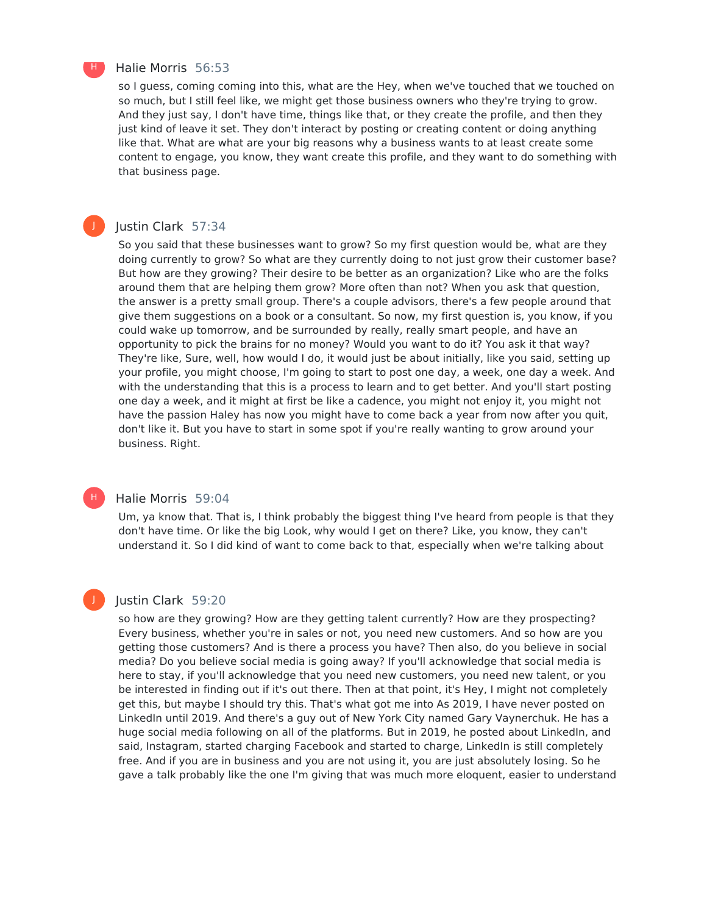

J

H)

#### Halie Morris 56:53

so I guess, coming coming into this, what are the Hey, when we've touched that we touched on so much, but I still feel like, we might get those business owners who they're trying to grow. And they just say, I don't have time, things like that, or they create the profile, and then they just kind of leave it set. They don't interact by posting or creating content or doing anything like that. What are what are your big reasons why a business wants to at least create some content to engage, you know, they want create this profile, and they want to do something with that business page.

#### Justin Clark 57:34

So you said that these businesses want to grow? So my first question would be, what are they doing currently to grow? So what are they currently doing to not just grow their customer base? But how are they growing? Their desire to be better as an organization? Like who are the folks around them that are helping them grow? More often than not? When you ask that question, the answer is a pretty small group. There's a couple advisors, there's a few people around that give them suggestions on a book or a consultant. So now, my first question is, you know, if you could wake up tomorrow, and be surrounded by really, really smart people, and have an opportunity to pick the brains for no money? Would you want to do it? You ask it that way? They're like, Sure, well, how would I do, it would just be about initially, like you said, setting up your profile, you might choose, I'm going to start to post one day, a week, one day a week. And with the understanding that this is a process to learn and to get better. And you'll start posting one day a week, and it might at first be like a cadence, you might not enjoy it, you might not have the passion Haley has now you might have to come back a year from now after you quit, don't like it. But you have to start in some spot if you're really wanting to grow around your business. Right.

#### Halie Morris 59:04

Um, ya know that. That is, I think probably the biggest thing I've heard from people is that they don't have time. Or like the big Look, why would I get on there? Like, you know, they can't understand it. So I did kind of want to come back to that, especially when we're talking about

#### Justin Clark 59:20

so how are they growing? How are they getting talent currently? How are they prospecting? Every business, whether you're in sales or not, you need new customers. And so how are you getting those customers? And is there a process you have? Then also, do you believe in social media? Do you believe social media is going away? If you'll acknowledge that social media is here to stay, if you'll acknowledge that you need new customers, you need new talent, or you be interested in finding out if it's out there. Then at that point, it's Hey, I might not completely get this, but maybe I should try this. That's what got me into As 2019, I have never posted on LinkedIn until 2019. And there's a guy out of New York City named Gary Vaynerchuk. He has a huge social media following on all of the platforms. But in 2019, he posted about LinkedIn, and said, Instagram, started charging Facebook and started to charge, LinkedIn is still completely free. And if you are in business and you are not using it, you are just absolutely losing. So he gave a talk probably like the one I'm giving that was much more eloquent, easier to understand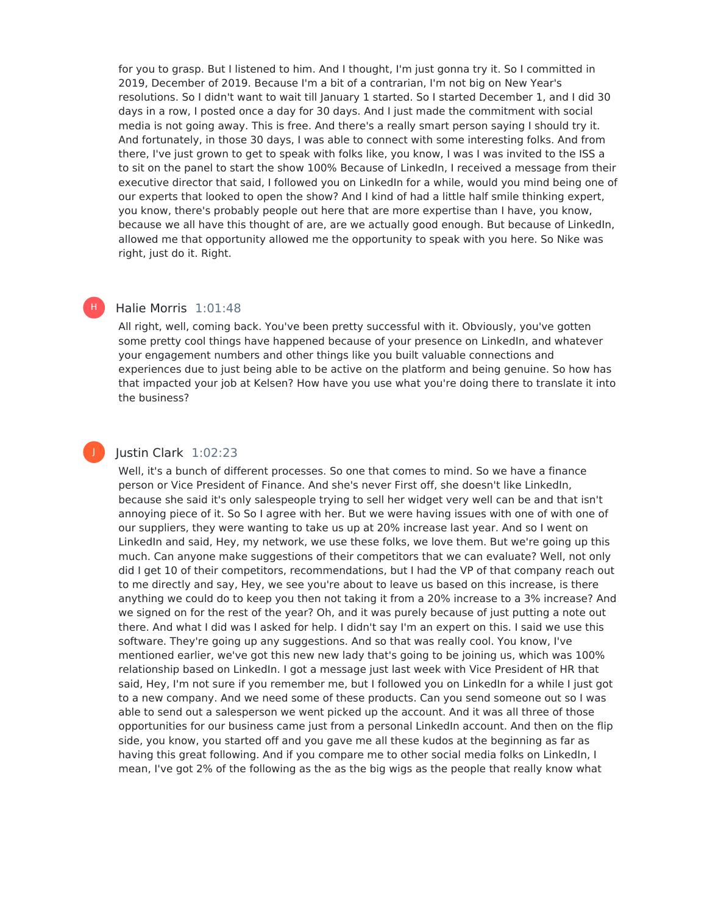for you to grasp. But I listened to him. And I thought, I'm just gonna try it. So I committed in 2019, December of 2019. Because I'm a bit of a contrarian, I'm not big on New Year's resolutions. So I didn't want to wait till January 1 started. So I started December 1, and I did 30 days in a row, I posted once a day for 30 days. And I just made the commitment with social media is not going away. This is free. And there's a really smart person saying I should try it. And fortunately, in those 30 days, I was able to connect with some interesting folks. And from there, I've just grown to get to speak with folks like, you know, I was I was invited to the ISS a to sit on the panel to start the show 100% Because of LinkedIn, I received a message from their executive director that said, I followed you on LinkedIn for a while, would you mind being one of our experts that looked to open the show? And I kind of had a little half smile thinking expert, you know, there's probably people out here that are more expertise than I have, you know, because we all have this thought of are, are we actually good enough. But because of LinkedIn, allowed me that opportunity allowed me the opportunity to speak with you here. So Nike was right, just do it. Right.

#### Halie Morris 1:01:48

H)

All right, well, coming back. You've been pretty successful with it. Obviously, you've gotten some pretty cool things have happened because of your presence on LinkedIn, and whatever your engagement numbers and other things like you built valuable connections and experiences due to just being able to be active on the platform and being genuine. So how has that impacted your job at Kelsen? How have you use what you're doing there to translate it into the business?

#### Justin Clark 1:02:23

Well, it's a bunch of different processes. So one that comes to mind. So we have a finance person or Vice President of Finance. And she's never First off, she doesn't like LinkedIn, because she said it's only salespeople trying to sell her widget very well can be and that isn't annoying piece of it. So So I agree with her. But we were having issues with one of with one of our suppliers, they were wanting to take us up at 20% increase last year. And so I went on LinkedIn and said, Hey, my network, we use these folks, we love them. But we're going up this much. Can anyone make suggestions of their competitors that we can evaluate? Well, not only did I get 10 of their competitors, recommendations, but I had the VP of that company reach out to me directly and say, Hey, we see you're about to leave us based on this increase, is there anything we could do to keep you then not taking it from a 20% increase to a 3% increase? And we signed on for the rest of the year? Oh, and it was purely because of just putting a note out there. And what I did was I asked for help. I didn't say I'm an expert on this. I said we use this software. They're going up any suggestions. And so that was really cool. You know, I've mentioned earlier, we've got this new new lady that's going to be joining us, which was 100% relationship based on LinkedIn. I got a message just last week with Vice President of HR that said, Hey, I'm not sure if you remember me, but I followed you on LinkedIn for a while I just got to a new company. And we need some of these products. Can you send someone out so I was able to send out a salesperson we went picked up the account. And it was all three of those opportunities for our business came just from a personal LinkedIn account. And then on the flip side, you know, you started off and you gave me all these kudos at the beginning as far as having this great following. And if you compare me to other social media folks on LinkedIn, I mean, I've got 2% of the following as the as the big wigs as the people that really know what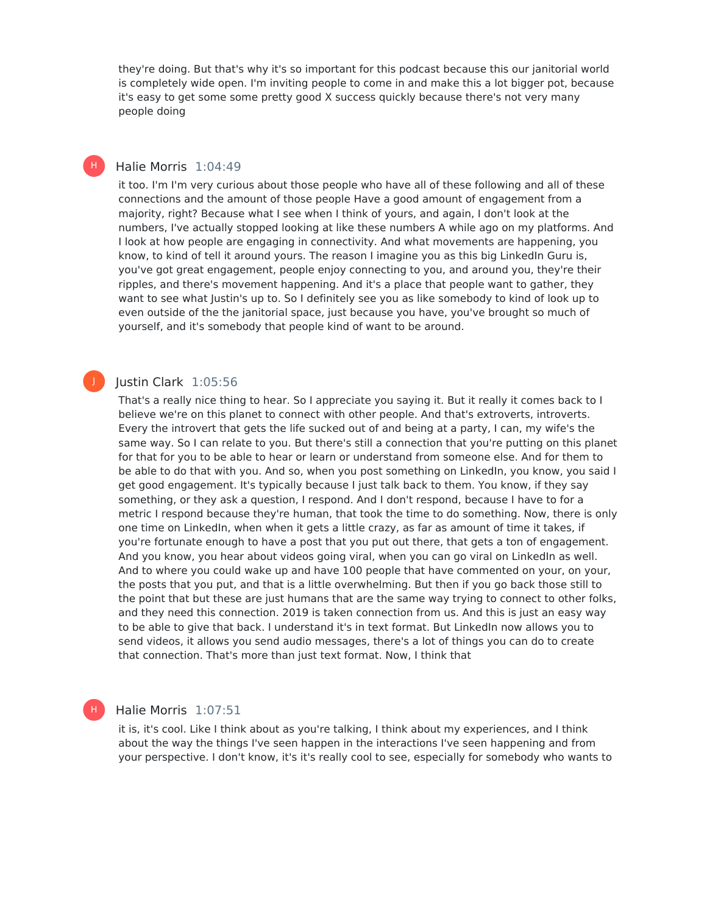they're doing. But that's why it's so important for this podcast because this our janitorial world is completely wide open. I'm inviting people to come in and make this a lot bigger pot, because it's easy to get some some pretty good X success quickly because there's not very many people doing

#### Halie Morris 1:04:49 H)

it too. I'm I'm very curious about those people who have all of these following and all of these connections and the amount of those people Have a good amount of engagement from a majority, right? Because what I see when I think of yours, and again, I don't look at the numbers, I've actually stopped looking at like these numbers A while ago on my platforms. And I look at how people are engaging in connectivity. And what movements are happening, you know, to kind of tell it around yours. The reason I imagine you as this big LinkedIn Guru is, you've got great engagement, people enjoy connecting to you, and around you, they're their ripples, and there's movement happening. And it's a place that people want to gather, they want to see what Justin's up to. So I definitely see you as like somebody to kind of look up to even outside of the the janitorial space, just because you have, you've brought so much of yourself, and it's somebody that people kind of want to be around.

#### Justin Clark 1:05:56

J

H

That's a really nice thing to hear. So I appreciate you saying it. But it really it comes back to I believe we're on this planet to connect with other people. And that's extroverts, introverts. Every the introvert that gets the life sucked out of and being at a party, I can, my wife's the same way. So I can relate to you. But there's still a connection that you're putting on this planet for that for you to be able to hear or learn or understand from someone else. And for them to be able to do that with you. And so, when you post something on LinkedIn, you know, you said I get good engagement. It's typically because I just talk back to them. You know, if they say something, or they ask a question, I respond. And I don't respond, because I have to for a metric I respond because they're human, that took the time to do something. Now, there is only one time on LinkedIn, when when it gets a little crazy, as far as amount of time it takes, if you're fortunate enough to have a post that you put out there, that gets a ton of engagement. And you know, you hear about videos going viral, when you can go viral on LinkedIn as well. And to where you could wake up and have 100 people that have commented on your, on your, the posts that you put, and that is a little overwhelming. But then if you go back those still to the point that but these are just humans that are the same way trying to connect to other folks, and they need this connection. 2019 is taken connection from us. And this is just an easy way to be able to give that back. I understand it's in text format. But LinkedIn now allows you to send videos, it allows you send audio messages, there's a lot of things you can do to create that connection. That's more than just text format. Now, I think that

#### Halie Morris 1:07:51

it is, it's cool. Like I think about as you're talking, I think about my experiences, and I think about the way the things I've seen happen in the interactions I've seen happening and from your perspective. I don't know, it's it's really cool to see, especially for somebody who wants to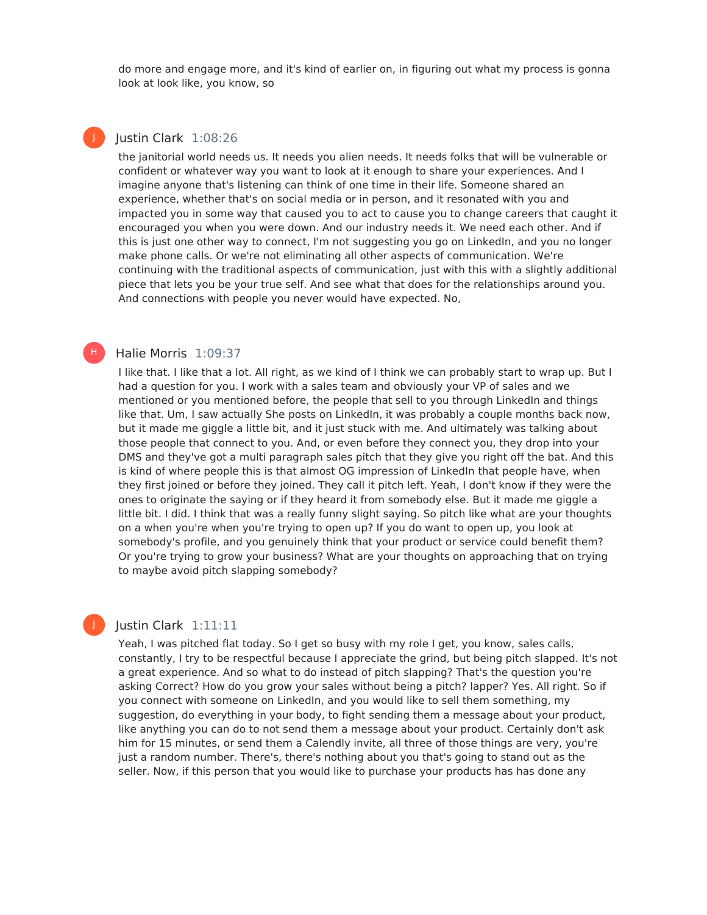do more and engage more, and it's kind of earlier on, in figuring out what my process is gonna look at look like, you know, so

#### Iustin Clark 1:08:26

J

H |

the janitorial world needs us. It needs you alien needs. It needs folks that will be vulnerable or confident or whatever way you want to look at it enough to share your experiences. And I imagine anyone that's listening can think of one time in their life. Someone shared an experience, whether that's on social media or in person, and it resonated with you and impacted you in some way that caused you to act to cause you to change careers that caught it encouraged you when you were down. And our industry needs it. We need each other. And if this is just one other way to connect, I'm not suggesting you go on LinkedIn, and you no longer make phone calls. Or we're not eliminating all other aspects of communication. We're continuing with the traditional aspects of communication, just with this with a slightly additional piece that lets you be your true self. And see what that does for the relationships around you. And connections with people you never would have expected. No,

#### Halie Morris 1:09:37

I like that. I like that a lot. All right, as we kind of I think we can probably start to wrap up. But I had a question for you. I work with a sales team and obviously your VP of sales and we mentioned or you mentioned before, the people that sell to you through LinkedIn and things like that. Um, I saw actually She posts on LinkedIn, it was probably a couple months back now, but it made me giggle a little bit, and it just stuck with me. And ultimately was talking about those people that connect to you. And, or even before they connect you, they drop into your DMS and they've got a multi paragraph sales pitch that they give you right off the bat. And this is kind of where people this is that almost OG impression of LinkedIn that people have, when they first joined or before they joined. They call it pitch left. Yeah, I don't know if they were the ones to originate the saying or if they heard it from somebody else. But it made me giggle a little bit. I did. I think that was a really funny slight saying. So pitch like what are your thoughts on a when you're when you're trying to open up? If you do want to open up, you look at somebody's profile, and you genuinely think that your product or service could benefit them? Or you're trying to grow your business? What are your thoughts on approaching that on trying to maybe avoid pitch slapping somebody?

#### Justin Clark 1:11:11

Yeah, I was pitched flat today. So I get so busy with my role I get, you know, sales calls, constantly, I try to be respectful because I appreciate the grind, but being pitch slapped. It's not a great experience. And so what to do instead of pitch slapping? That's the question you're asking Correct? How do you grow your sales without being a pitch? lapper? Yes. All right. So if you connect with someone on LinkedIn, and you would like to sell them something, my suggestion, do everything in your body, to fight sending them a message about your product, like anything you can do to not send them a message about your product. Certainly don't ask him for 15 minutes, or send them a Calendly invite, all three of those things are very, you're just a random number. There's, there's nothing about you that's going to stand out as the seller. Now, if this person that you would like to purchase your products has has done any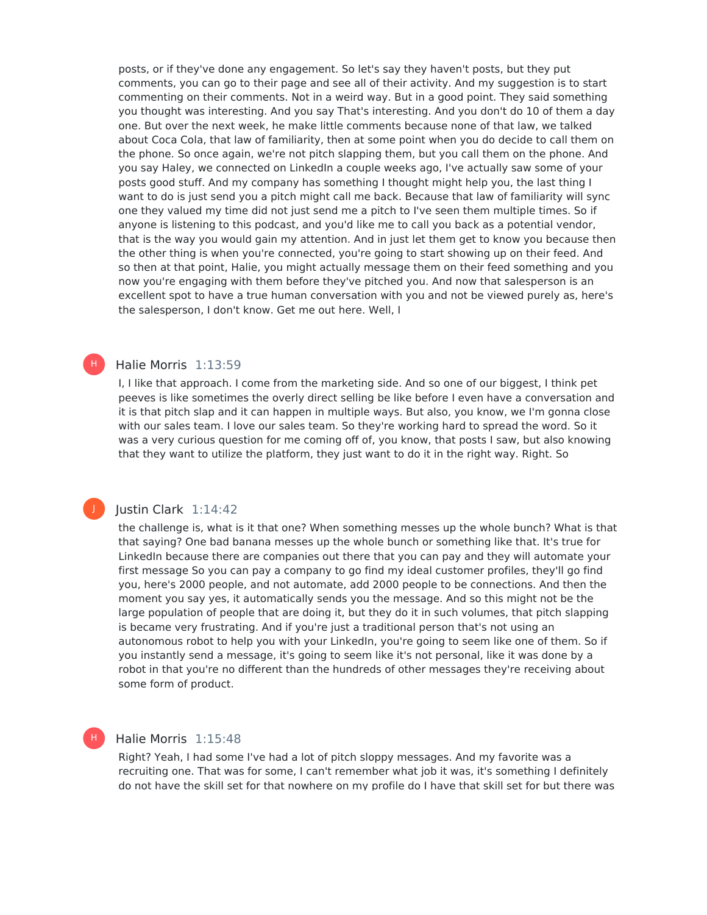posts, or if they've done any engagement. So let's say they haven't posts, but they put comments, you can go to their page and see all of their activity. And my suggestion is to start commenting on their comments. Not in a weird way. But in a good point. They said something you thought was interesting. And you say That's interesting. And you don't do 10 of them a day one. But over the next week, he make little comments because none of that law, we talked about Coca Cola, that law of familiarity, then at some point when you do decide to call them on the phone. So once again, we're not pitch slapping them, but you call them on the phone. And you say Haley, we connected on LinkedIn a couple weeks ago, I've actually saw some of your posts good stuff. And my company has something I thought might help you, the last thing I want to do is just send you a pitch might call me back. Because that law of familiarity will sync one they valued my time did not just send me a pitch to I've seen them multiple times. So if anyone is listening to this podcast, and you'd like me to call you back as a potential vendor, that is the way you would gain my attention. And in just let them get to know you because then the other thing is when you're connected, you're going to start showing up on their feed. And so then at that point, Halie, you might actually message them on their feed something and you now you're engaging with them before they've pitched you. And now that salesperson is an excellent spot to have a true human conversation with you and not be viewed purely as, here's the salesperson, I don't know. Get me out here. Well, I

#### Halie Morris 1:13:59

H)

J

H

I, I like that approach. I come from the marketing side. And so one of our biggest, I think pet peeves is like sometimes the overly direct selling be like before I even have a conversation and it is that pitch slap and it can happen in multiple ways. But also, you know, we I'm gonna close with our sales team. I love our sales team. So they're working hard to spread the word. So it was a very curious question for me coming off of, you know, that posts I saw, but also knowing that they want to utilize the platform, they just want to do it in the right way. Right. So

#### Justin Clark 1:14:42

the challenge is, what is it that one? When something messes up the whole bunch? What is that that saying? One bad banana messes up the whole bunch or something like that. It's true for LinkedIn because there are companies out there that you can pay and they will automate your first message So you can pay a company to go find my ideal customer profiles, they'll go find you, here's 2000 people, and not automate, add 2000 people to be connections. And then the moment you say yes, it automatically sends you the message. And so this might not be the large population of people that are doing it, but they do it in such volumes, that pitch slapping is became very frustrating. And if you're just a traditional person that's not using an autonomous robot to help you with your LinkedIn, you're going to seem like one of them. So if you instantly send a message, it's going to seem like it's not personal, like it was done by a robot in that you're no different than the hundreds of other messages they're receiving about some form of product.

#### Halie Morris 1:15:48

Right? Yeah, I had some I've had a lot of pitch sloppy messages. And my favorite was a recruiting one. That was for some, I can't remember what job it was, it's something I definitely do not have the skill set for that nowhere on my profile do I have that skill set for but there was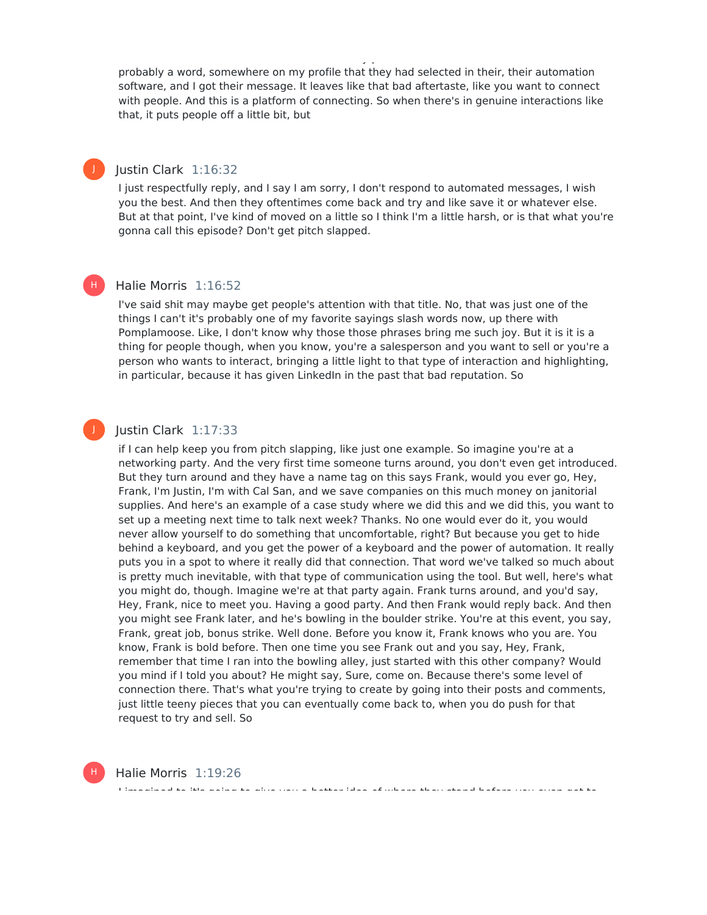probably a word, somewhere on my profile that they had selected in their, their automation software, and I got their message. It leaves like that bad aftertaste, like you want to connect with people. And this is a platform of connecting. So when there's in genuine interactions like that, it puts people off a little bit, but

do not have the skill set for that nowhere on my profile do I have that skill set for but there was

### Justin Clark 1:16:32

J

J

I just respectfully reply, and I say I am sorry, I don't respond to automated messages, I wish you the best. And then they oftentimes come back and try and like save it or whatever else. But at that point, I've kind of moved on a little so I think I'm a little harsh, or is that what you're gonna call this episode? Don't get pitch slapped.

#### Halie Morris 1:16:52 H |

I've said shit may maybe get people's attention with that title. No, that was just one of the things I can't it's probably one of my favorite sayings slash words now, up there with Pomplamoose. Like, I don't know why those those phrases bring me such joy. But it is it is a thing for people though, when you know, you're a salesperson and you want to sell or you're a person who wants to interact, bringing a little light to that type of interaction and highlighting, in particular, because it has given LinkedIn in the past that bad reputation. So

#### Justin Clark 1:17:33

if I can help keep you from pitch slapping, like just one example. So imagine you're at a networking party. And the very first time someone turns around, you don't even get introduced. But they turn around and they have a name tag on this says Frank, would you ever go, Hey, Frank, I'm Justin, I'm with Cal San, and we save companies on this much money on janitorial supplies. And here's an example of a case study where we did this and we did this, you want to set up a meeting next time to talk next week? Thanks. No one would ever do it, you would never allow yourself to do something that uncomfortable, right? But because you get to hide behind a keyboard, and you get the power of a keyboard and the power of automation. It really puts you in a spot to where it really did that connection. That word we've talked so much about is pretty much inevitable, with that type of communication using the tool. But well, here's what you might do, though. Imagine we're at that party again. Frank turns around, and you'd say, Hey, Frank, nice to meet you. Having a good party. And then Frank would reply back. And then you might see Frank later, and he's bowling in the boulder strike. You're at this event, you say, Frank, great job, bonus strike. Well done. Before you know it, Frank knows who you are. You know, Frank is bold before. Then one time you see Frank out and you say, Hey, Frank, remember that time I ran into the bowling alley, just started with this other company? Would you mind if I told you about? He might say, Sure, come on. Because there's some level of connection there. That's what you're trying to create by going into their posts and comments, just little teeny pieces that you can eventually come back to, when you do push for that request to try and sell. So

I imagined to it's going to give you a better idea of where they stand before you even get to



Halie Morris 1:19:26